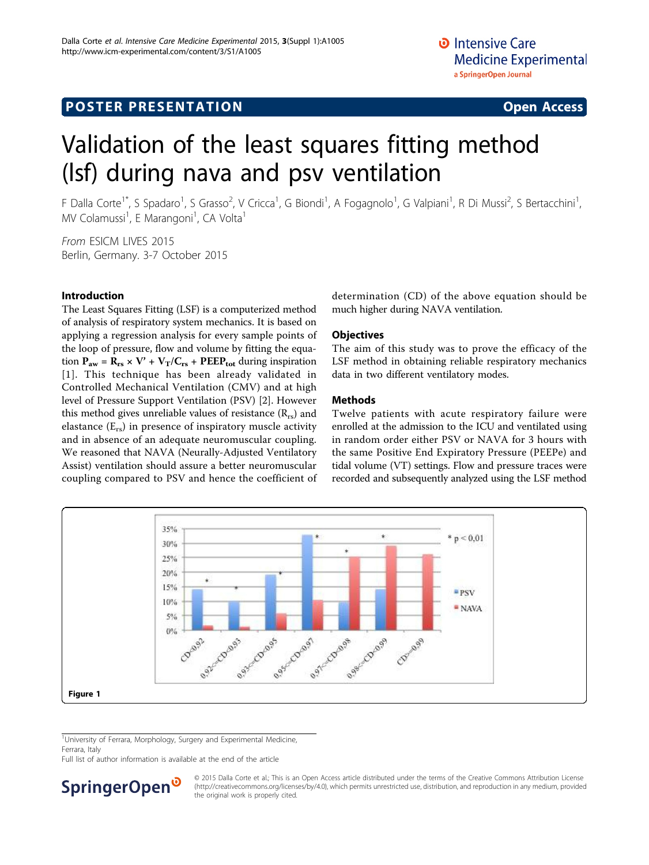# <span id="page-0-0"></span>**POSTER PRESENTATION CONSUMING ACCESS**

# Validation of the least squares fitting method (lsf) during nava and psv ventilation

F Dalla Corte<sup>1\*</sup>, S Spadaro<sup>1</sup>, S Grasso<sup>2</sup>, V Cricca<sup>1</sup>, G Biondi<sup>1</sup>, A Fogagnolo<sup>1</sup>, G Valpiani<sup>1</sup>, R Di Mussi<sup>2</sup>, S Bertacchini<sup>1</sup> , MV Colamussi<sup>1</sup>, E Marangoni<sup>1</sup>, CA Volta<sup>1</sup>

From ESICM LIVES 2015 Berlin, Germany. 3-7 October 2015

# Introduction

The Least Squares Fitting (LSF) is a computerized method of analysis of respiratory system mechanics. It is based on applying a regression analysis for every sample points of the loop of pressure, flow and volume by fitting the equation  $P_{aw} = R_{rs} \times V' + V_T/C_{rs} + PEEP_{tot}$  during inspiration [[1](#page-1-0)]. This technique has been already validated in Controlled Mechanical Ventilation (CMV) and at high level of Pressure Support Ventilation (PSV) [[2\]](#page-1-0). However this method gives unreliable values of resistance  $(R_{rs})$  and elastance  $(E_{rs})$  in presence of inspiratory muscle activity and in absence of an adequate neuromuscular coupling. We reasoned that NAVA (Neurally-Adjusted Ventilatory Assist) ventilation should assure a better neuromuscular coupling compared to PSV and hence the coefficient of determination (CD) of the above equation should be much higher during NAVA ventilation.

# **Objectives**

The aim of this study was to prove the efficacy of the LSF method in obtaining reliable respiratory mechanics data in two different ventilatory modes.

# Methods

Twelve patients with acute respiratory failure were enrolled at the admission to the ICU and ventilated using in random order either PSV or NAVA for 3 hours with the same Positive End Expiratory Pressure (PEEPe) and tidal volume (VT) settings. Flow and pressure traces were recorded and subsequently analyzed using the LSF method



<sup>1</sup>University of Ferrara, Morphology, Surgery and Experimental Medicine,

Ferrara, Italy

Full list of author information is available at the end of the article



© 2015 Dalla Corte et al.; This is an Open Access article distributed under the terms of the Creative Commons Attribution License [\(http://creativecommons.org/licenses/by/4.0](http://creativecommons.org/licenses/by/4.0)), which permits unrestricted use, distribution, and reproduction in any medium, provided the original work is properly cited.